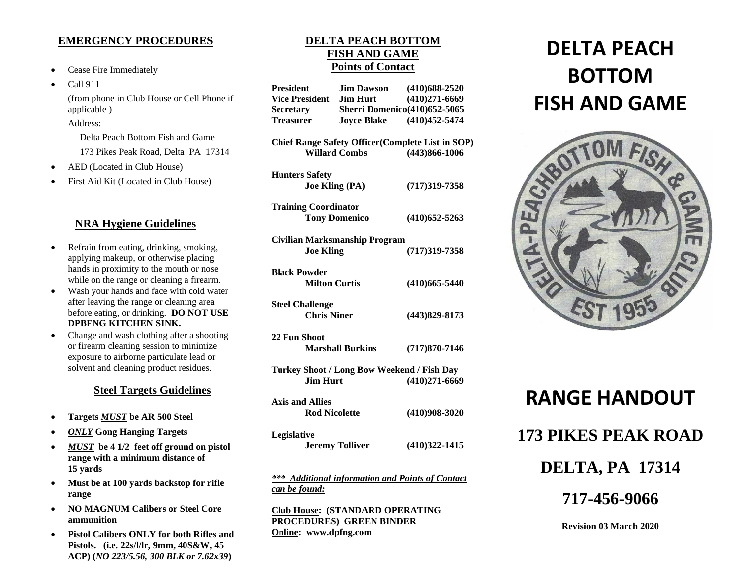### **EMERGENCY PROCEDURES**

- Cease Fire Immediately
- Call 911 (from phone in Club House or Cell Phone if applicable ) Address: Delta Peach Bottom Fish and Game 173 Pikes Peak Road, Delta PA 17314 • AED (Located in Club House)
- 
- First Aid Kit (Located in Club House)

## **NRA Hygiene Guidelines**

- Refrain from eating, drinking, smoking, applying makeup, or otherwise placing hands in proximity to the mouth or nose while on the range or cleaning a firearm.
- Wash your hands and face with cold water after leaving the range or cleaning area before eating, or drinking. **DO NOT USE DPBFNG KITCHEN SINK.**
- Change and wash clothing after a shooting or firearm cleaning session to minimize exposure to airborne particulate lead or solvent and cleaning product residues.

## **Steel Targets Guidelines**

- **Targets** *MUST* **be AR 500 Steel**
- *ONLY* **Gong Hanging Targets**
- *MUST* **be 4 1/2 feet off ground on pistol range with a minimum distance of 15 yards**
- **Must be at 100 yards backstop for rifle range**
- **NO MAGNUM Calibers or Steel Core ammunition**
- **Pistol Calibers ONLY for both Rifles and Pistols. (i.e. 22s/l/lr, 9mm, 40S&W, 45 ACP) (***NO 223/5.56, 300 BLK or 7.62x39***)**

## **DELTA PEACH BOTTOM FISH AND GAME Points of Contact**

**President Jim Dawson (410)688-2520**

| Vice President Jim Hurt                                                                               |                                                         | $(410)271-6669$   |
|-------------------------------------------------------------------------------------------------------|---------------------------------------------------------|-------------------|
| <b>Secretary</b>                                                                                      | <b>Sherri Domenico</b> (410)652-5065                    |                   |
| <b>Treasurer</b>                                                                                      | <b>Joyce Blake</b>                                      | $(410)452 - 5474$ |
| <b>Chief Range Safety Officer (Complete List in SOP)</b><br><b>Willard Combs</b><br>$(443)866 - 1006$ |                                                         |                   |
| <b>Hunters Safety</b><br><b>Joe Kling (PA)</b>                                                        |                                                         | $(717)319 - 7358$ |
| <b>Training Coordinator</b><br><b>Tony Domenico</b>                                                   |                                                         | $(410)$ 652-5263  |
| <b>Civilian Marksmanship Program</b><br><b>Joe Kling</b>                                              |                                                         | $(717)319 - 7358$ |
| <b>Black Powder</b><br><b>Milton Curtis</b>                                                           |                                                         | $(410)665 - 5440$ |
| <b>Steel Challenge</b><br><b>Chris Niner</b>                                                          |                                                         | $(443)829 - 8173$ |
| 22 Fun Shoot                                                                                          | <b>Marshall Burkins</b>                                 | $(717)870 - 7146$ |
| Turkey Shoot / Long Bow Weekend / Fish Day<br><b>Jim Hurt</b>                                         |                                                         | $(410)271-6669$   |
| <b>Axis and Allies</b><br><b>Rod Nicolette</b>                                                        |                                                         | $(410)908 - 3020$ |
| Legislative                                                                                           | <b>Jeremy Tolliver</b>                                  | $(410)322 - 1415$ |
| can be found:                                                                                         | <b>*** Additional information and Points of Contact</b> |                   |

**Club House: (STANDARD OPERATING PROCEDURES) GREEN BINDER Online: www.dpfng.com**

# **DELTA PEACH BOTTOM FISH AND GAME**





#### **Revision 03 March 2020**